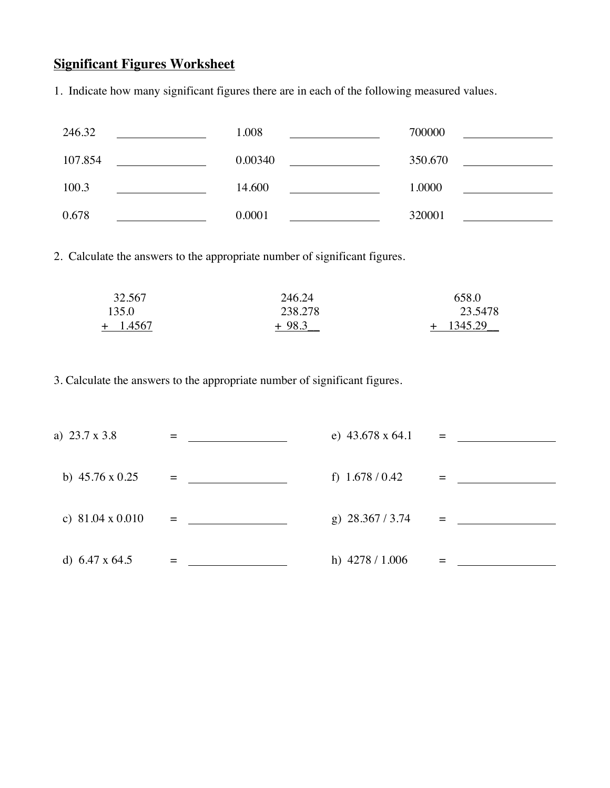## **Significant Figures Worksheet**

1. Indicate how many significant figures there are in each of the following measured values.

| 246.32  | 1.008   | 700000  |
|---------|---------|---------|
| 107.854 | 0.00340 | 350.670 |
| 100.3   | 14.600  | 1.0000  |
| 0.678   | 0.0001  | 320001  |

2. Calculate the answers to the appropriate number of significant figures.

| 32.567     | 246.24  | 658.0          |
|------------|---------|----------------|
| 135.0      | 238.278 | 23.5478        |
| $+$ 1.4567 | $+98.3$ | 1345.29<br>$+$ |

3. Calculate the answers to the appropriate number of significant figures.

| a) 23.7 x 3.8           |                                    | e) $43.678 \times 64.1$ | $=$ |
|-------------------------|------------------------------------|-------------------------|-----|
| b) $45.76 \times 0.25$  | <b>Experience of the Community</b> | f) $1.678 / 0.42$       |     |
| c) $81.04 \times 0.010$ | $=$                                | g) $28.367 / 3.74$      | $=$ |
| d) $6.47 \times 64.5$   |                                    | h) $4278 / 1.006$       |     |